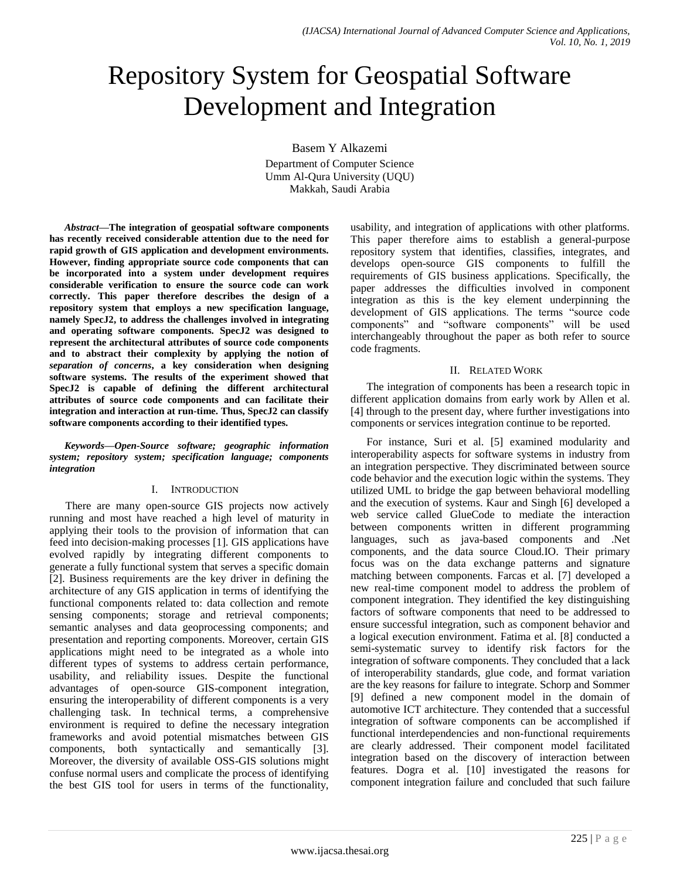# Repository System for Geospatial Software Development and Integration

Basem Y Alkazemi Department of Computer Science

Umm Al-Qura University (UQU) Makkah, Saudi Arabia

*Abstract***—The integration of geospatial software components has recently received considerable attention due to the need for rapid growth of GIS application and development environments. However, finding appropriate source code components that can be incorporated into a system under development requires considerable verification to ensure the source code can work correctly. This paper therefore describes the design of a repository system that employs a new specification language, namely SpecJ2, to address the challenges involved in integrating and operating software components. SpecJ2 was designed to represent the architectural attributes of source code components and to abstract their complexity by applying the notion of**  *separation of concerns***, a key consideration when designing software systems. The results of the experiment showed that SpecJ2 is capable of defining the different architectural attributes of source code components and can facilitate their integration and interaction at run-time. Thus, SpecJ2 can classify software components according to their identified types.**

*Keywords—Open-Source software; geographic information system; repository system; specification language; components integration*

# I. INTRODUCTION

There are many open-source GIS projects now actively running and most have reached a high level of maturity in applying their tools to the provision of information that can feed into decision-making processes [1]. GIS applications have evolved rapidly by integrating different components to generate a fully functional system that serves a specific domain [2]. Business requirements are the key driver in defining the architecture of any GIS application in terms of identifying the functional components related to: data collection and remote sensing components; storage and retrieval components; semantic analyses and data geoprocessing components; and presentation and reporting components. Moreover, certain GIS applications might need to be integrated as a whole into different types of systems to address certain performance, usability, and reliability issues. Despite the functional advantages of open-source GIS-component integration, ensuring the interoperability of different components is a very challenging task. In technical terms, a comprehensive environment is required to define the necessary integration frameworks and avoid potential mismatches between GIS components, both syntactically and semantically [3]. Moreover, the diversity of available OSS-GIS solutions might confuse normal users and complicate the process of identifying the best GIS tool for users in terms of the functionality,

usability, and integration of applications with other platforms. This paper therefore aims to establish a general-purpose repository system that identifies, classifies, integrates, and develops open-source GIS components to fulfill the requirements of GIS business applications. Specifically, the paper addresses the difficulties involved in component integration as this is the key element underpinning the development of GIS applications. The terms "source code components" and "software components" will be used interchangeably throughout the paper as both refer to source code fragments.

# II. RELATED WORK

The integration of components has been a research topic in different application domains from early work by Allen et al. [4] through to the present day, where further investigations into components or services integration continue to be reported.

For instance, Suri et al. [5] examined modularity and interoperability aspects for software systems in industry from an integration perspective. They discriminated between source code behavior and the execution logic within the systems. They utilized UML to bridge the gap between behavioral modelling and the execution of systems. Kaur and Singh [6] developed a web service called GlueCode to mediate the interaction between components written in different programming languages, such as java-based components and .Net components, and the data source Cloud.IO. Their primary focus was on the data exchange patterns and signature matching between components. Farcas et al. [7] developed a new real-time component model to address the problem of component integration. They identified the key distinguishing factors of software components that need to be addressed to ensure successful integration, such as component behavior and a logical execution environment. Fatima et al. [8] conducted a semi-systematic survey to identify risk factors for the integration of software components. They concluded that a lack of interoperability standards, glue code, and format variation are the key reasons for failure to integrate. Schorp and Sommer [9] defined a new component model in the domain of automotive ICT architecture. They contended that a successful integration of software components can be accomplished if functional interdependencies and non-functional requirements are clearly addressed. Their component model facilitated integration based on the discovery of interaction between features. Dogra et al. [10] investigated the reasons for component integration failure and concluded that such failure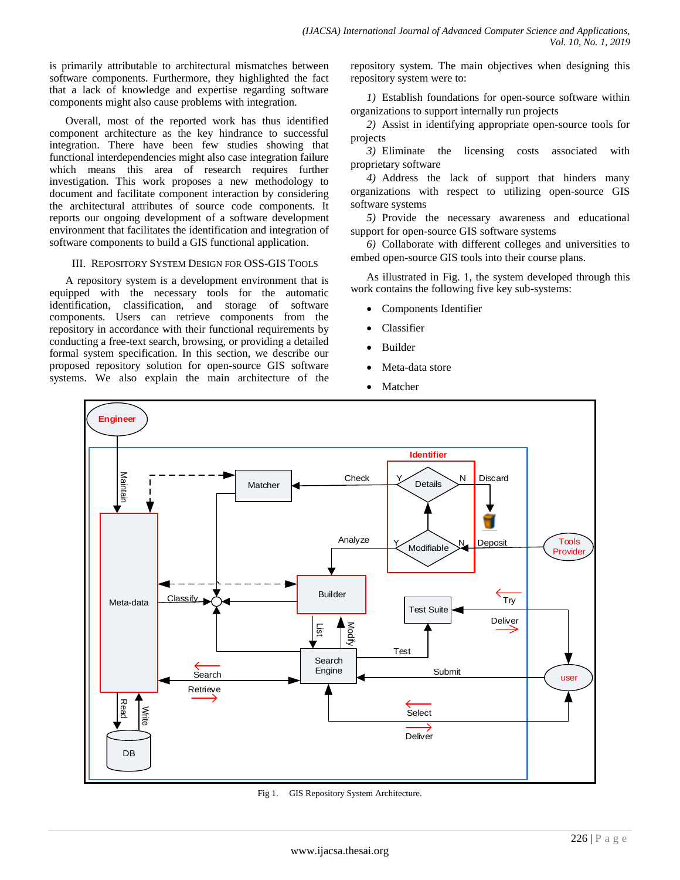is primarily attributable to architectural mismatches between software components. Furthermore, they highlighted the fact that a lack of knowledge and expertise regarding software components might also cause problems with integration.

Overall, most of the reported work has thus identified component architecture as the key hindrance to successful integration. There have been few studies showing that functional interdependencies might also case integration failure which means this area of research requires further investigation. This work proposes a new methodology to document and facilitate component interaction by considering the architectural attributes of source code components. It reports our ongoing development of a software development environment that facilitates the identification and integration of software components to build a GIS functional application.

## III. REPOSITORY SYSTEM DESIGN FOR OSS-GIS TOOLS

A repository system is a development environment that is equipped with the necessary tools for the automatic identification, classification, and storage of software components. Users can retrieve components from the repository in accordance with their functional requirements by conducting a free-text search, browsing, or providing a detailed formal system specification. In this section, we describe our proposed repository solution for open-source GIS software systems. We also explain the main architecture of the repository system. The main objectives when designing this repository system were to:

*1)* Establish foundations for open-source software within organizations to support internally run projects

*2)* Assist in identifying appropriate open-source tools for projects

*3)* Eliminate the licensing costs associated with proprietary software

*4)* Address the lack of support that hinders many organizations with respect to utilizing open-source GIS software systems

*5)* Provide the necessary awareness and educational support for open-source GIS software systems

*6)* Collaborate with different colleges and universities to embed open-source GIS tools into their course plans.

As illustrated in Fig. 1, the system developed through this work contains the following five key sub-systems:

- Components Identifier
- Classifier
- Builder
- Meta-data store
- Matcher



Fig 1. GIS Repository System Architecture.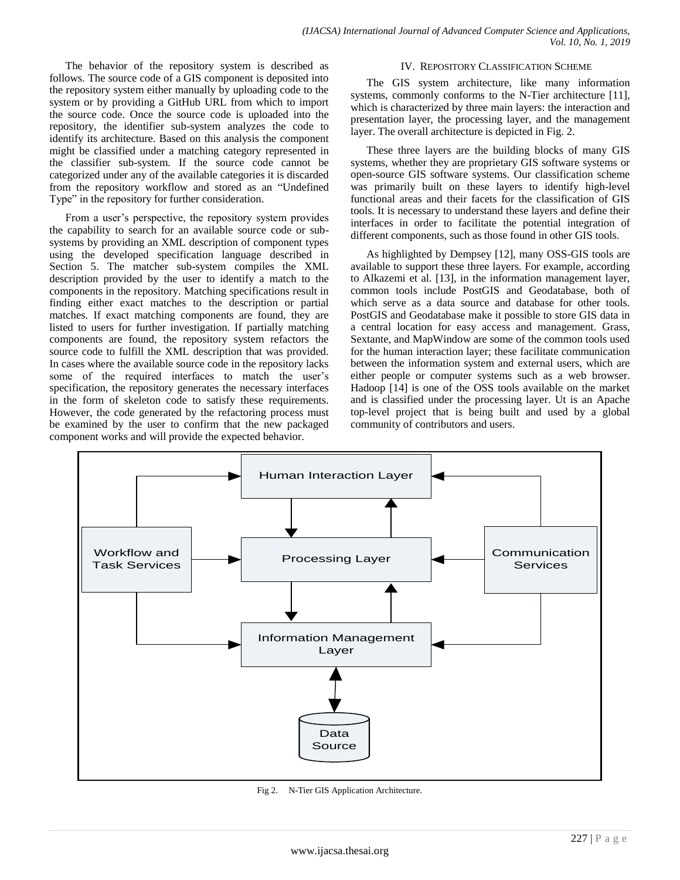The behavior of the repository system is described as follows. The source code of a GIS component is deposited into the repository system either manually by uploading code to the system or by providing a GitHub URL from which to import the source code. Once the source code is uploaded into the repository, the identifier sub-system analyzes the code to identify its architecture. Based on this analysis the component might be classified under a matching category represented in the classifier sub-system. If the source code cannot be categorized under any of the available categories it is discarded from the repository workflow and stored as an "Undefined Type" in the repository for further consideration.

From a user's perspective, the repository system provides the capability to search for an available source code or subsystems by providing an XML description of component types using the developed specification language described in Section 5. The matcher sub-system compiles the XML description provided by the user to identify a match to the components in the repository. Matching specifications result in finding either exact matches to the description or partial matches. If exact matching components are found, they are listed to users for further investigation. If partially matching components are found, the repository system refactors the source code to fulfill the XML description that was provided. In cases where the available source code in the repository lacks some of the required interfaces to match the user's specification, the repository generates the necessary interfaces in the form of skeleton code to satisfy these requirements. However, the code generated by the refactoring process must be examined by the user to confirm that the new packaged component works and will provide the expected behavior.

## IV. REPOSITORY CLASSIFICATION SCHEME

The GIS system architecture, like many information systems, commonly conforms to the N-Tier architecture [11], which is characterized by three main layers: the interaction and presentation layer, the processing layer, and the management layer. The overall architecture is depicted in Fig. 2.

These three layers are the building blocks of many GIS systems, whether they are proprietary GIS software systems or open-source GIS software systems. Our classification scheme was primarily built on these layers to identify high-level functional areas and their facets for the classification of GIS tools. It is necessary to understand these layers and define their interfaces in order to facilitate the potential integration of different components, such as those found in other GIS tools.

As highlighted by Dempsey [12], many OSS-GIS tools are available to support these three layers. For example, according to Alkazemi et al. [13], in the information management layer, common tools include PostGIS and Geodatabase, both of which serve as a data source and database for other tools. PostGIS and Geodatabase make it possible to store GIS data in a central location for easy access and management. Grass, Sextante, and MapWindow are some of the common tools used for the human interaction layer; these facilitate communication between the information system and external users, which are either people or computer systems such as a web browser. Hadoop [14] is one of the OSS tools available on the market and is classified under the processing layer. Ut is an Apache top-level project that is being built and used by a global community of contributors and users.



Fig 2. N-Tier GIS Application Architecture.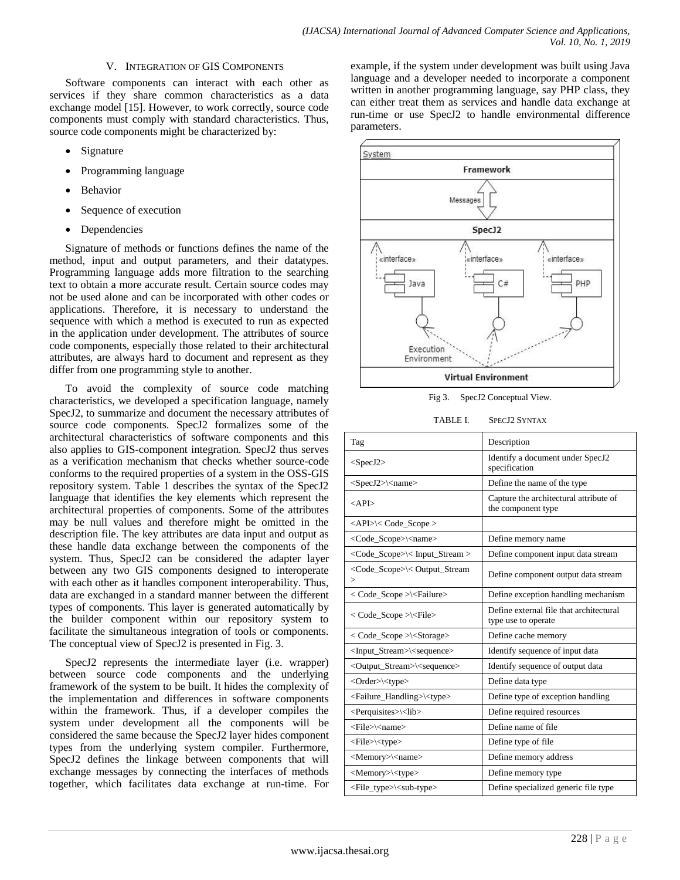## V. INTEGRATION OF GIS COMPONENTS

Software components can interact with each other as services if they share common characteristics as a data exchange model [15]. However, to work correctly, source code components must comply with standard characteristics. Thus, source code components might be characterized by:

- Signature
- Programming language
- Behavior
- Sequence of execution
- Dependencies

Signature of methods or functions defines the name of the method, input and output parameters, and their datatypes. Programming language adds more filtration to the searching text to obtain a more accurate result. Certain source codes may not be used alone and can be incorporated with other codes or applications. Therefore, it is necessary to understand the sequence with which a method is executed to run as expected in the application under development. The attributes of source code components, especially those related to their architectural attributes, are always hard to document and represent as they differ from one programming style to another.

To avoid the complexity of source code matching characteristics, we developed a specification language, namely SpecJ2, to summarize and document the necessary attributes of source code components. SpecJ2 formalizes some of the architectural characteristics of software components and this also applies to GIS-component integration. SpecJ2 thus serves as a verification mechanism that checks whether source-code conforms to the required properties of a system in the OSS-GIS repository system. Table 1 describes the syntax of the SpecJ2 language that identifies the key elements which represent the architectural properties of components. Some of the attributes may be null values and therefore might be omitted in the description file. The key attributes are data input and output as these handle data exchange between the components of the system. Thus, SpecJ2 can be considered the adapter layer between any two GIS components designed to interoperate with each other as it handles component interoperability. Thus, data are exchanged in a standard manner between the different types of components. This layer is generated automatically by the builder component within our repository system to facilitate the simultaneous integration of tools or components. The conceptual view of SpecJ2 is presented in Fig. 3.

SpecJ2 represents the intermediate layer (i.e. wrapper) between source code components and the underlying framework of the system to be built. It hides the complexity of the implementation and differences in software components within the framework. Thus, if a developer compiles the system under development all the components will be considered the same because the SpecJ2 layer hides component types from the underlying system compiler. Furthermore, SpecJ2 defines the linkage between components that will exchange messages by connecting the interfaces of methods together, which facilitates data exchange at run-time. For

example, if the system under development was built using Java language and a developer needed to incorporate a component written in another programming language, say PHP class, they can either treat them as services and handle data exchange at run-time or use SpecJ2 to handle environmental difference parameters.



Fig 3. SpecJ2 Conceptual View.

| Tag                                                                  | Description                                                    |  |  |
|----------------------------------------------------------------------|----------------------------------------------------------------|--|--|
| $<$ SpecJ2>                                                          | Identify a document under SpecJ2<br>specification              |  |  |
| $<$ SpecJ2> $\le$ name>                                              | Define the name of the type                                    |  |  |
| $\langle API \rangle$                                                | Capture the architectural attribute of<br>the component type   |  |  |
| <api>\&lt; Code_Scope &gt;</api>                                     |                                                                |  |  |
| <code_scope>\<name></name></code_scope>                              | Define memory name                                             |  |  |
| <code_scope>\&lt; Input_Stream &gt;</code_scope>                     | Define component input data stream                             |  |  |
| <code_scope>\&lt; Output_Stream<br/><math>\,&gt;</math></code_scope> | Define component output data stream                            |  |  |
| < Code_Scope >\ <failure></failure>                                  | Define exception handling mechanism                            |  |  |
| < Code_Scope >\ <file></file>                                        | Define external file that architectural<br>type use to operate |  |  |
| < Code_Scope >\ <storage></storage>                                  | Define cache memory                                            |  |  |
| <input_stream>\<sequence></sequence></input_stream>                  | Identify sequence of input data                                |  |  |
| <output_stream>\<sequence></sequence></output_stream>                | Identify sequence of output data                               |  |  |
| <order>\<type></type></order>                                        | Define data type                                               |  |  |
| <failure_handling>\<type></type></failure_handling>                  | Define type of exception handling                              |  |  |
| <perquisites>\<lib></lib></perquisites>                              | Define required resources                                      |  |  |
| <file>\<name></name></file>                                          | Define name of file                                            |  |  |
| <file>\<type></type></file>                                          | Define type of file                                            |  |  |
| <memory>\<name></name></memory>                                      | Define memory address                                          |  |  |
| <memory>\<type></type></memory>                                      | Define memory type                                             |  |  |
| <file_type>\<sub-type></sub-type></file_type>                        | Define specialized generic file type                           |  |  |
|                                                                      |                                                                |  |  |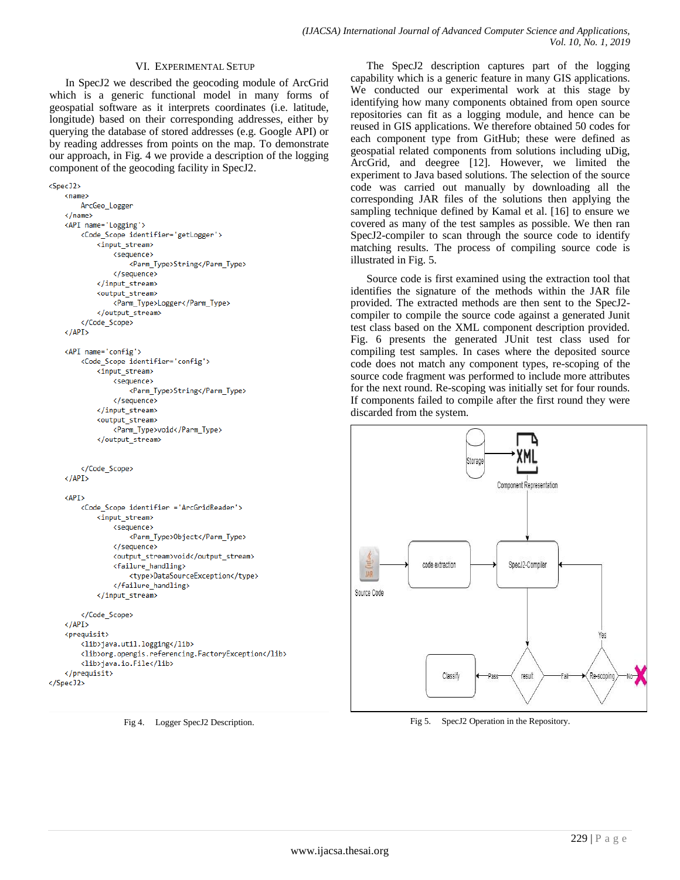## VI. EXPERIMENTAL SETUP

In SpecJ2 we described the geocoding module of ArcGrid which is a generic functional model in many forms of geospatial software as it interprets coordinates (i.e. latitude, longitude) based on their corresponding addresses, either by querying the database of stored addresses (e.g. Google API) or by reading addresses from points on the map. To demonstrate our approach, in Fig. 4 we provide a description of the logging component of the geocoding facility in SpecJ2.

```
<sub>Spec</sub> 12</sub>
    \langlename\rangleArcGeo Logger
    \langle /name \rangle<API name='Logging'>
        <Code_Scope identifier='getLogger'>
             <input stream>
                 <sequence>
                      <Parm_Type>String</Parm_Type>
                 </sequence>
             </input stream>
             <output_stream>
                 <Parm Type>Logger</Parm Type>
             </output stream>
        </Code_Scope>
    \langle/API>
    <API name='config'>
        <Code_Scope identifier='config'>
             <input stream>
                 <sequence>
                     <Parm_Type>String</Parm_Type>
                 </sequence>
             </input stream>
             <output stream>
                 <Parm Type>void</Parm Type>
            </output stream>
        </Code Scope>
    \langle/API>
    <API>
        <Code_Scope identifier ='ArcGridReader'>
            <input stream>
                 <sequence>
                      <Parm_Type>Object</Parm_Type>
                 </sequence>
                 <output_stream>void</output_stream>
                 <failure_handling>
                     <type>DataSourceException</type>
                 </failure_handling>
            </input_stream>
        </Code_Scope>
    \langle/API>
    <preauisit>
        <lib>java.util.logging</lib>
        <lib>org.opengis.referencing.FactoryException</lib>
        <lib>java.io.File</lib>
    </prequisit>
</Spec32>
```
Fig 4. Logger SpecJ2 Description.

The SpecJ2 description captures part of the logging capability which is a generic feature in many GIS applications. We conducted our experimental work at this stage by identifying how many components obtained from open source repositories can fit as a logging module, and hence can be reused in GIS applications. We therefore obtained 50 codes for each component type from GitHub; these were defined as geospatial related components from solutions including uDig, ArcGrid, and deegree [12]. However, we limited the experiment to Java based solutions. The selection of the source code was carried out manually by downloading all the corresponding JAR files of the solutions then applying the sampling technique defined by Kamal et al. [16] to ensure we covered as many of the test samples as possible. We then ran SpecJ2-compiler to scan through the source code to identify matching results. The process of compiling source code is illustrated in Fig. 5.

Source code is first examined using the extraction tool that identifies the signature of the methods within the JAR file provided. The extracted methods are then sent to the SpecJ2 compiler to compile the source code against a generated Junit test class based on the XML component description provided. Fig. 6 presents the generated JUnit test class used for compiling test samples. In cases where the deposited source code does not match any component types, re-scoping of the source code fragment was performed to include more attributes for the next round. Re-scoping was initially set for four rounds. If components failed to compile after the first round they were discarded from the system.



Fig 5. SpecJ2 Operation in the Repository.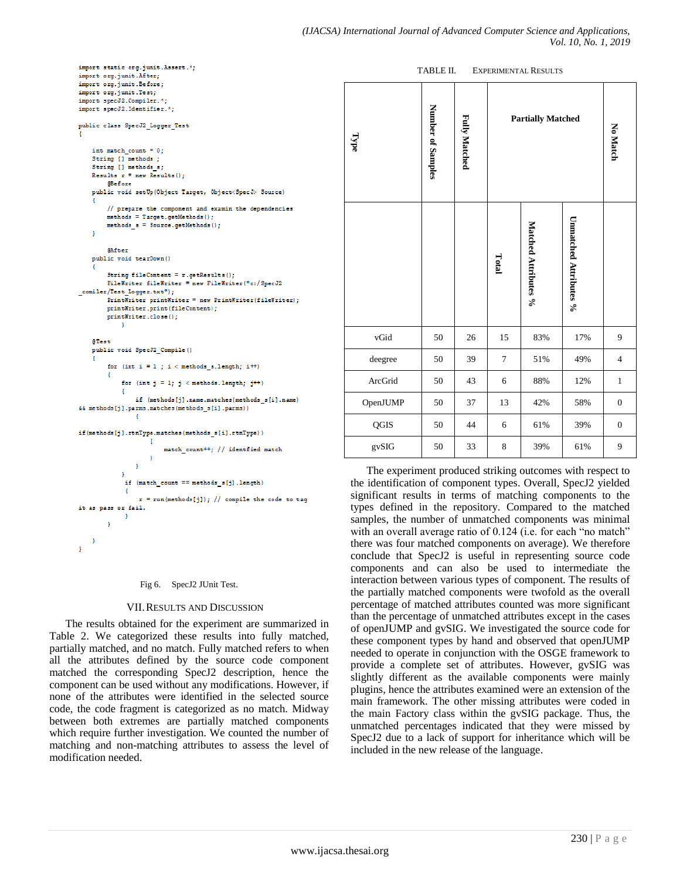```
import static org.junit.Assert.*;
import org.junit.After;
import org.junit.Before;
import org.junit.Test;
import specJ2.Compiler.*;
import specJ2. Identifier.*;
public class SpecJ2 Logger Test
    int match count = 0:
    String [] methods ;
    String [] methods s;
    Results r = new Results();
        @Before
    public void setUp(Object Target, Object<SpecJ> Source)
        // prepare the component and examin the dependencies
        methods = Target.getMethods();
        methods s = 3ource.getMethods();
    h,
        @After
    public void tearDown()
        String fileContent = r.getResults();
        FileWriter fileWriter = new FileWriter("c:/SpecJ2
comiler/Test Logger.txt");
        PrintWriter printWriter = new PrintWriter(fileWriter):
        printWriter.print(fileContent);
        printWriter.close();
    STest
    public void SpecJ2 Compile ()
        for (int i = 1; i < methods_s.length; i++)
             for (int j = 1; j < methods. length; j^{++})
            Æ
                if (methods[j].name.matches(methods_s[i].name)
66 methods[j].parms.matches(methods_s[i].parms))
                \mathbf{f}\mathtt{if}(\mathsf{methods[j].rtnType}.\mathtt{matches}(\mathsf{methods\_s[i].rtnType}))-1
                         match count++: // identfied match
                     A.
```
 $\overline{1}$ if (match\_count == methods\_s[j].length) Ł  $r = run(methods[i])$ : // compile the code to tag it as pass or fail. - 1 Ï

#### Fig 6. SpecJ2 JUnit Test.

<sup>1</sup> h

#### VII.RESULTS AND DISCUSSION

The results obtained for the experiment are summarized in Table 2. We categorized these results into fully matched, partially matched, and no match. Fully matched refers to when all the attributes defined by the source code component matched the corresponding SpecJ2 description, hence the component can be used without any modifications. However, if none of the attributes were identified in the selected source code, the code fragment is categorized as no match. Midway between both extremes are partially matched components which require further investigation. We counted the number of matching and non-matching attributes to assess the level of modification needed.

| Type     | Number of Samples | <b>Fully Matched</b> | <b>Partially Matched</b> |                      |                        | No Match         |
|----------|-------------------|----------------------|--------------------------|----------------------|------------------------|------------------|
|          |                   |                      | Total                    | Matched Attributes % | Unnatched Attributes % |                  |
| vGid     | 50                | 26                   | 15                       | 83%                  | 17%                    | 9                |
| deegree  | 50                | 39                   | $\tau$                   | 51%                  | 49%                    | $\overline{4}$   |
| ArcGrid  | 50                | 43                   | 6                        | 88%                  | 12%                    | $\mathbf{1}$     |
| OpenJUMP | 50                | 37                   | 13                       | 42%                  | 58%                    | $\boldsymbol{0}$ |
| QGIS     | 50                | 44                   | 6                        | 61%                  | 39%                    | $\boldsymbol{0}$ |
| gvSIG    | 50                | 33                   | $\,8\,$                  | 39%                  | 61%                    | 9                |

The experiment produced striking outcomes with respect to the identification of component types. Overall, SpecJ2 yielded significant results in terms of matching components to the types defined in the repository. Compared to the matched samples, the number of unmatched components was minimal with an overall average ratio of 0.124 (i.e. for each "no match" there was four matched components on average). We therefore conclude that SpecJ2 is useful in representing source code components and can also be used to intermediate the interaction between various types of component. The results of the partially matched components were twofold as the overall percentage of matched attributes counted was more significant than the percentage of unmatched attributes except in the cases of openJUMP and gvSIG. We investigated the source code for these component types by hand and observed that openJUMP needed to operate in conjunction with the OSGE framework to provide a complete set of attributes. However, gvSIG was slightly different as the available components were mainly plugins, hence the attributes examined were an extension of the main framework. The other missing attributes were coded in the main Factory class within the gvSIG package. Thus, the unmatched percentages indicated that they were missed by SpecJ2 due to a lack of support for inheritance which will be included in the new release of the language.